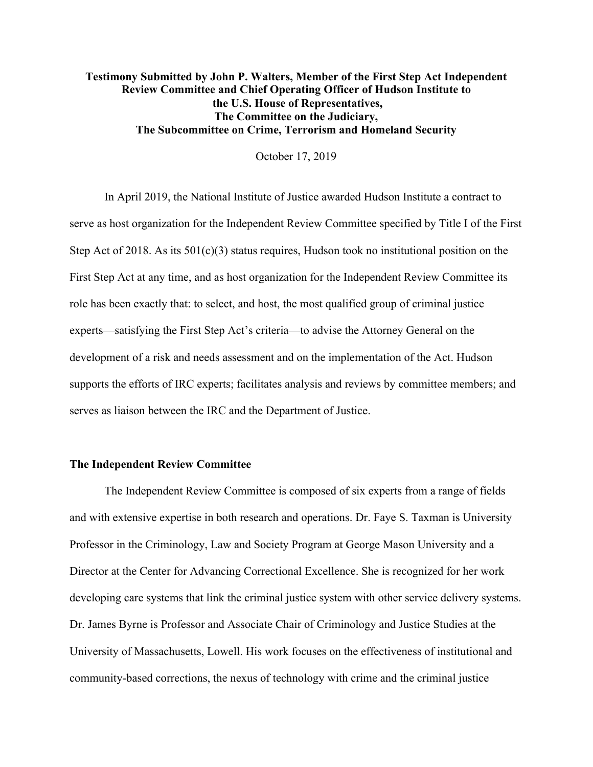## **Testimony Submitted by John P. Walters, Member of the First Step Act Independent Review Committee and Chief Operating Officer of Hudson Institute to the U.S. House of Representatives, The Committee on the Judiciary, The Subcommittee on Crime, Terrorism and Homeland Security**

October 17, 2019

In April 2019, the National Institute of Justice awarded Hudson Institute a contract to serve as host organization for the Independent Review Committee specified by Title I of the First Step Act of 2018. As its 501(c)(3) status requires, Hudson took no institutional position on the First Step Act at any time, and as host organization for the Independent Review Committee its role has been exactly that: to select, and host, the most qualified group of criminal justice experts—satisfying the First Step Act's criteria—to advise the Attorney General on the development of a risk and needs assessment and on the implementation of the Act. Hudson supports the efforts of IRC experts; facilitates analysis and reviews by committee members; and serves as liaison between the IRC and the Department of Justice.

## **The Independent Review Committee**

The Independent Review Committee is composed of six experts from a range of fields and with extensive expertise in both research and operations. Dr. Faye S. Taxman is University Professor in the Criminology, Law and Society Program at George Mason University and a Director at the Center for Advancing Correctional Excellence. She is recognized for her work developing care systems that link the criminal justice system with other service delivery systems. Dr. James Byrne is Professor and Associate Chair of Criminology and Justice Studies at the University of Massachusetts, Lowell. His work focuses on the effectiveness of institutional and community-based corrections, the nexus of technology with crime and the criminal justice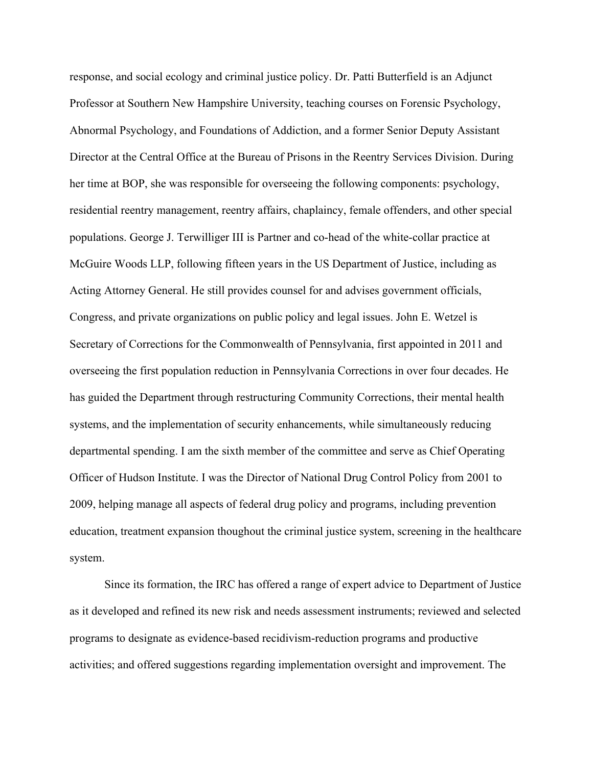response, and social ecology and criminal justice policy. Dr. Patti Butterfield is an Adjunct Professor at Southern New Hampshire University, teaching courses on Forensic Psychology, Abnormal Psychology, and Foundations of Addiction, and a former Senior Deputy Assistant Director at the Central Office at the Bureau of Prisons in the Reentry Services Division. During her time at BOP, she was responsible for overseeing the following components: psychology, residential reentry management, reentry affairs, chaplaincy, female offenders, and other special populations. George J. Terwilliger III is Partner and co-head of the white-collar practice at McGuire Woods LLP, following fifteen years in the US Department of Justice, including as Acting Attorney General. He still provides counsel for and advises government officials, Congress, and private organizations on public policy and legal issues. John E. Wetzel is Secretary of Corrections for the Commonwealth of Pennsylvania, first appointed in 2011 and overseeing the first population reduction in Pennsylvania Corrections in over four decades. He has guided the Department through restructuring Community Corrections, their mental health systems, and the implementation of security enhancements, while simultaneously reducing departmental spending. I am the sixth member of the committee and serve as Chief Operating Officer of Hudson Institute. I was the Director of National Drug Control Policy from 2001 to 2009, helping manage all aspects of federal drug policy and programs, including prevention education, treatment expansion thoughout the criminal justice system, screening in the healthcare system.

Since its formation, the IRC has offered a range of expert advice to Department of Justice as it developed and refined its new risk and needs assessment instruments; reviewed and selected programs to designate as evidence-based recidivism-reduction programs and productive activities; and offered suggestions regarding implementation oversight and improvement. The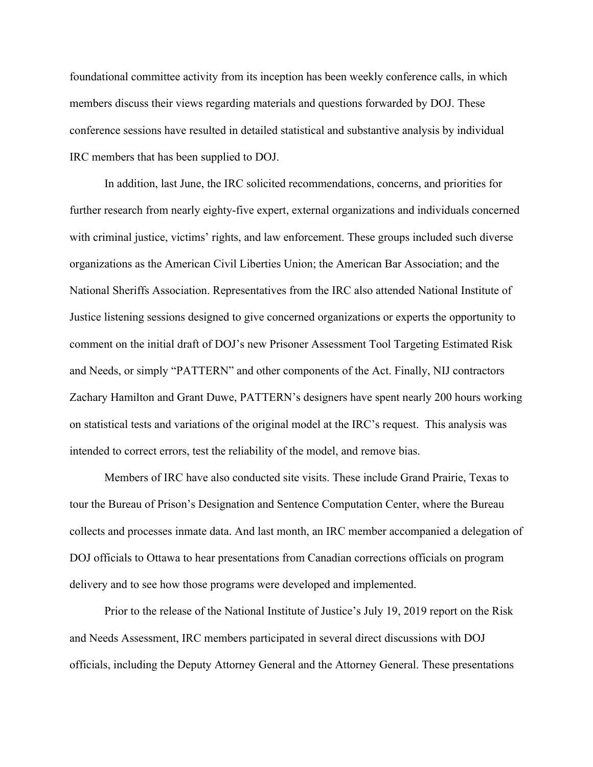foundational committee activity from its inception has been weekly conference calls, in which members discuss their views regarding materials and questions forwarded by DOJ. These conference sessions have resulted in detailed statistical and substantive analysis by individual IRC members that has been supplied to DOJ.

In addition, last June, the IRC solicited recommendations, concerns, and priorities for further research from nearly eighty-five expert, external organizations and individuals concerned with criminal justice, victims' rights, and law enforcement. These groups included such diverse organizations as the American Civil Liberties Union; the American Bar Association; and the National Sheriffs Association. Representatives from the IRC also attended National Institute of Justice listening sessions designed to give concerned organizations or experts the opportunity to comment on the initial draft of DOJ's new Prisoner Assessment Tool Targeting Estimated Risk and Needs, or simply "PATTERN" and other components of the Act. Finally, NIJ contractors Zachary Hamilton and Grant Duwe, PATTERN's designers have spent nearly 200 hours working on statistical tests and variations of the original model at the IRC's request. This analysis was intended to correct errors, test the reliability of the model, and remove bias.

Members of IRC have also conducted site visits. These include Grand Prairie, Texas to tour the Bureau of Prison's Designation and Sentence Computation Center, where the Bureau collects and processes inmate data. And last month, an IRC member accompanied a delegation of DOJ officials to Ottawa to hear presentations from Canadian corrections officials on program delivery and to see how those programs were developed and implemented.

Prior to the release of the National Institute of Justice's July 19, 2019 report on the Risk and Needs Assessment, IRC members participated in several direct discussions with DOJ officials, including the Deputy Attorney General and the Attorney General. These presentations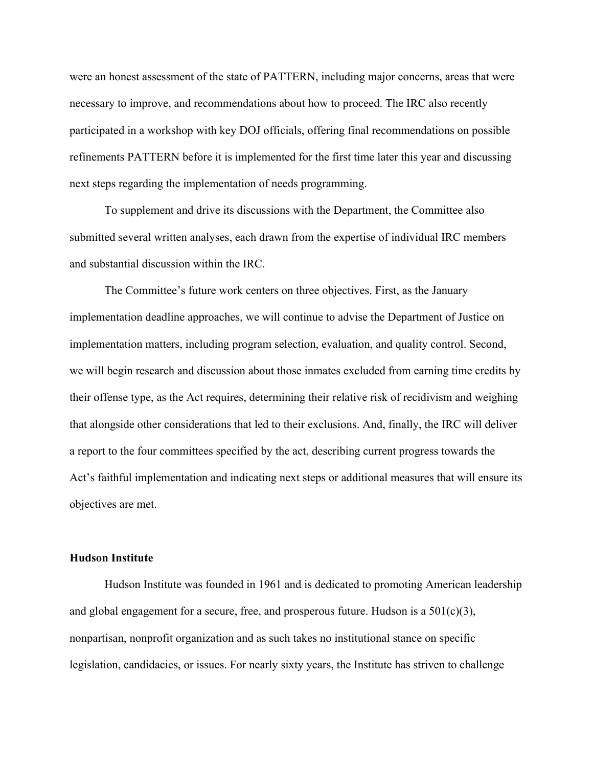were an honest assessment of the state of PATTERN, including major concerns, areas that were necessary to improve, and recommendations about how to proceed. The IRC also recently participated in a workshop with key DOJ officials, offering final recommendations on possible refinements PATTERN before it is implemented for the first time later this year and discussing next steps regarding the implementation of needs programming.

To supplement and drive its discussions with the Department, the Committee also submitted several written analyses, each drawn from the expertise of individual IRC members and substantial discussion within the IRC.

The Committee's future work centers on three objectives. First, as the January implementation deadline approaches, we will continue to advise the Department of Justice on implementation matters, including program selection, evaluation, and quality control. Second, we will begin research and discussion about those inmates excluded from earning time credits by their offense type, as the Act requires, determining their relative risk of recidivism and weighing that alongside other considerations that led to their exclusions. And, finally, the IRC will deliver a report to the four committees specified by the act, describing current progress towards the Act's faithful implementation and indicating next steps or additional measures that will ensure its objectives are met.

## **Hudson Institute**

Hudson Institute was founded in 1961 and is dedicated to promoting American leadership and global engagement for a secure, free, and prosperous future. Hudson is a  $501(c)(3)$ , nonpartisan, nonprofit organization and as such takes no institutional stance on specific legislation, candidacies, or issues. For nearly sixty years, the Institute has striven to challenge